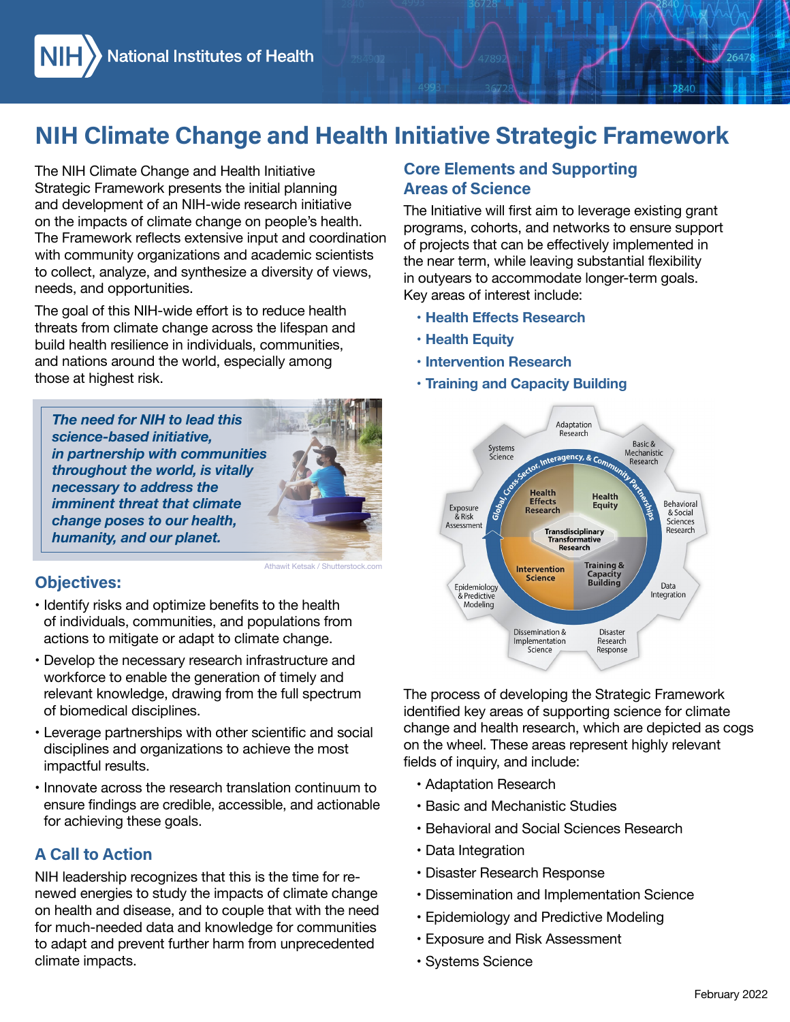# NIH Climate Change and Health Initiative Strategic Framework

The NIH Climate Change and Health Initiative<br>Strategic Framework presents the initial plant<br>and development of an NIH-wide research initial plant<br>and development of an NIH-wide research initial plant<br>on the impacts of clim Strategic Framework presents the initial planning and development of an NIH-wide research initiative on the impacts of climate change on people's health. The Framework reflects extensive input and coordination with community organizations and academic scientists to collect, analyze, and synthesize a diversity of views, needs, and opportunities.

The goal of this NIH-wide effort is to reduce health threats from climate change across the lifespan and build health resilience in individuals, communities, and nations around the world, especially among those at highest risk.

*The need for NIH to lead this science-based initiative, in partnership with communities throughout the world, is vitally necessary to address the imminent threat that climate change poses to our health, humanity, and our planet.* 



• Identify risks and optimize benefits to the health of individuals, communities, and populations from actions to mitigate or adapt to climate change.

Athawit Ketsak / Shutte

- Develop the necessary research infrastructure and workforce to enable the generation of timely and relevant knowledge, drawing from the full spectrum of biomedical disciplines.
- • Leverage partnerships with other scientific and social disciplines and organizations to achieve the most impactful results.
- for achieving these goals. • Innovate across the research translation continuum to ensure findings are credible, accessible, and actionable

## A Call to Action

climate impacts. NIH leadership recognizes that this is the time for renewed energies to study the impacts of climate change on health and disease, and to couple that with the need for much-needed data and knowledge for communities to adapt and prevent further harm from unprecedented

### Core Elements and Supporting Areas of Science

 Key areas of interest include: The Initiative will first aim to leverage existing grant programs, cohorts, and networks to ensure support of projects that can be effectively implemented in the near term, while leaving substantial flexibility in outyears to accommodate longer-term goals.

2840

- **• Health Effects Research**
- **• Health Equity**
- **• Intervention Research**
- **• Training and Capacity Building**



The process of developing the Strategic Framework identified key areas of supporting science for climate change and health research, which are depicted as cogs on the wheel. These areas represent highly relevant fields of inquiry, and include:

- • Adaptation Research
- • Basic and Mechanistic Studies
- • Behavioral and Social Sciences Research
- Data Integration
- • Disaster Research Response
- • Dissemination and Implementation Science
- • Epidemiology and Predictive Modeling
- • Exposure and Risk Assessment
- • Systems Science